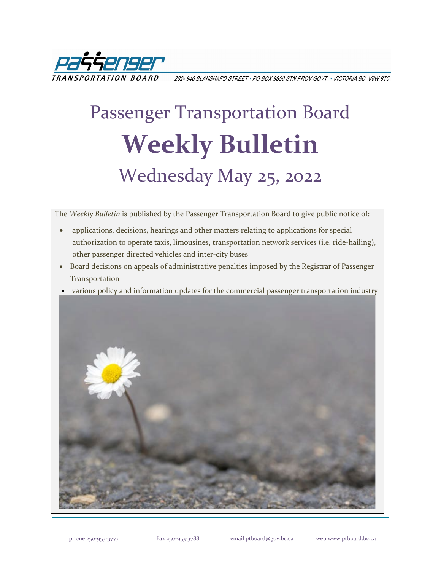

202-940 BLANSHARD STREET • PO BOX 9850 STN PROV GOVT • VICTORIA BC V8W 9T5

# Passenger Transportation Board **Weekly Bulletin** Wednesday May 25, 2022

The *[Weekly Bulletin](https://www.ptboard.bc.ca/bulletins.htm)* is published by th[e Passenger Transportation Board](https://www.ptboard.bc.ca/index.htm) to give public notice of:

- applications, decisions, hearings and other matters relating to applications for special authorization to operate taxis, limousines, transportation network services (i.e. ride-hailing), other passenger directed vehicles and inter-city buses
- Board decisions on appeals of administrative penalties imposed by the Registrar of Passenger Transportation
- various policy and information updates for the commercial passenger transportation industry

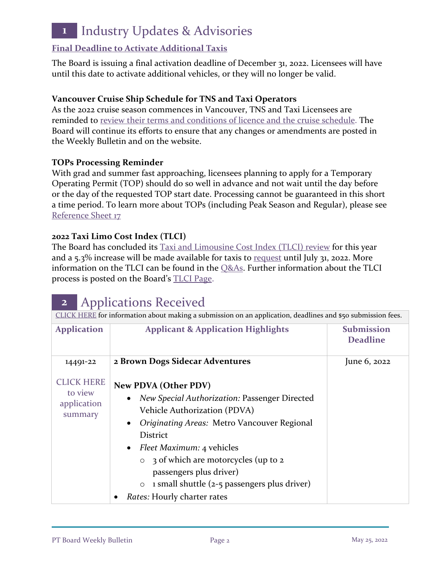## **1** Industry Updates & Advisories

#### **[Final Deadline to Activate Additional Taxis](https://www.ptboard.bc.ca/documents/ia-taxi-activation-final-extension-2022.pdf)**

The Board is issuing a final activation deadline of December 31, 2022. Licensees will have until this date to activate additional vehicles, or they will no longer be valid.

#### **Vancouver Cruise Ship Schedule for TNS and Taxi Operators**

As the 2022 cruise season commences in Vancouver, TNS and Taxi Licensees are reminded to [review their terms and conditions of licence and the cruise schedule.](https://www.ptboard.bc.ca/documents/ia-Vancouver-Cruise-Ship-Season-Reminder-2022.pdf) The Board will continue its efforts to ensure that any changes or amendments are posted in the Weekly Bulletin and on the website.

#### **TOPs Processing Reminder**

With grad and summer fast approaching, licensees planning to apply for a Temporary Operating Permit (TOP) should do so well in advance and not wait until the day before or the day of the requested TOP start date. Processing cannot be guaranteed in this short a time period. To learn more about TOPs (including Peak Season and Regular), please see [Reference Sheet 17](http://www.th.gov.bc.ca/forms/getForm.aspx?formId=1351)

#### **2022 Taxi Limo Cost Index (TLCI)**

The Board has concluded its [Taxi and Limousine Cost Index \(TLCI\) review](https://www.ptboard.bc.ca/documents/ia-tlci-2022.pdf) for this year and a 5.3% increase will be made available for taxis to [request](https://www.th.gov.bc.ca/forms/getForm.aspx?formId=1377) until July 31, 2022. More information on the TLCI can be found in the [Q&As.](https://www.ptboard.bc.ca/documents/Media-Lines-QAs-2022-TLCI.pdf) Further information about the TLCI process is posted on the Board's [TLCI Page.](https://www.ptboard.bc.ca/tlci.htm)

### **2** Applications Received

| CLICK HERE for information about making a submission on an application, deadlines and \$50 submission fees. |                                                                                                                                                                                                                                                                                                                                                                                                          |                                      |
|-------------------------------------------------------------------------------------------------------------|----------------------------------------------------------------------------------------------------------------------------------------------------------------------------------------------------------------------------------------------------------------------------------------------------------------------------------------------------------------------------------------------------------|--------------------------------------|
| <b>Application</b>                                                                                          | <b>Applicant &amp; Application Highlights</b>                                                                                                                                                                                                                                                                                                                                                            | <b>Submission</b><br><b>Deadline</b> |
| 14491-22                                                                                                    | 2 Brown Dogs Sidecar Adventures                                                                                                                                                                                                                                                                                                                                                                          | June 6, 2022                         |
| <b>CLICK HERE</b><br>to view<br>application<br>summary                                                      | <b>New PDVA (Other PDV)</b><br>New Special Authorization: Passenger Directed<br>Vehicle Authorization (PDVA)<br>Originating Areas: Metro Vancouver Regional<br>$\bullet$<br><b>District</b><br><i>Fleet Maximum: 4 vehicles</i><br>$\bullet$<br>3 of which are motorcycles (up to 2<br>passengers plus driver)<br>1 small shuttle (2-5 passengers plus driver)<br>$\circ$<br>Rates: Hourly charter rates |                                      |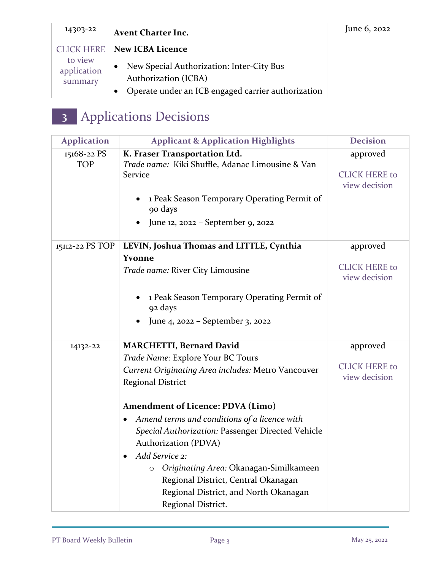| 14303-22                     | <b>Avent Charter Inc.</b>                                         | June 6, 2022 |
|------------------------------|-------------------------------------------------------------------|--------------|
| <b>CLICK HERE</b><br>to view | <b>New ICBA Licence</b>                                           |              |
| application<br>summary       | New Special Authorization: Inter-City Bus<br>Authorization (ICBA) |              |
|                              | Operate under an ICB engaged carrier authorization                |              |

## **3** Applications Decisions

| <b>Application</b>        | <b>Applicant &amp; Application Highlights</b>                                                                                                                                                                                                                                                                                                                                                                                                                                                                                           | <b>Decision</b>                                   |
|---------------------------|-----------------------------------------------------------------------------------------------------------------------------------------------------------------------------------------------------------------------------------------------------------------------------------------------------------------------------------------------------------------------------------------------------------------------------------------------------------------------------------------------------------------------------------------|---------------------------------------------------|
| 15168-22 PS<br><b>TOP</b> | K. Fraser Transportation Ltd.<br>Trade name: Kiki Shuffle, Adanac Limousine & Van<br>Service<br>1 Peak Season Temporary Operating Permit of<br>90 days<br>June 12, 2022 - September 9, 2022                                                                                                                                                                                                                                                                                                                                             | approved<br><b>CLICK HERE to</b><br>view decision |
| 15112-22 PS TOP           | LEVIN, Joshua Thomas and LITTLE, Cynthia<br><b>Yvonne</b><br>Trade name: River City Limousine<br>1 Peak Season Temporary Operating Permit of<br>92 days<br>June 4, 2022 – September 3, 2022                                                                                                                                                                                                                                                                                                                                             | approved<br><b>CLICK HERE to</b><br>view decision |
| 14132-22                  | <b>MARCHETTI, Bernard David</b><br>Trade Name: Explore Your BC Tours<br><b>Current Originating Area includes: Metro Vancouver</b><br><b>Regional District</b><br><b>Amendment of Licence: PDVA (Limo)</b><br>Amend terms and conditions of a licence with<br>$\bullet$<br>Special Authorization: Passenger Directed Vehicle<br>Authorization (PDVA)<br>Add Service 2:<br>$\bullet$<br>Originating Area: Okanagan-Similkameen<br>O<br>Regional District, Central Okanagan<br>Regional District, and North Okanagan<br>Regional District. | approved<br><b>CLICK HERE to</b><br>view decision |